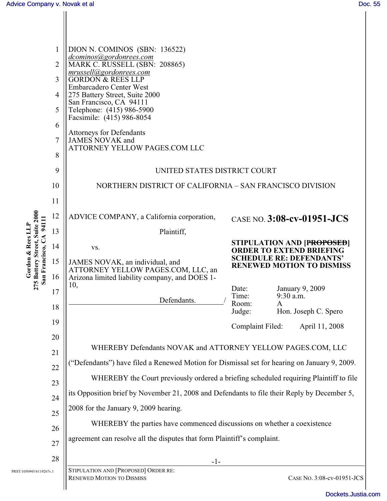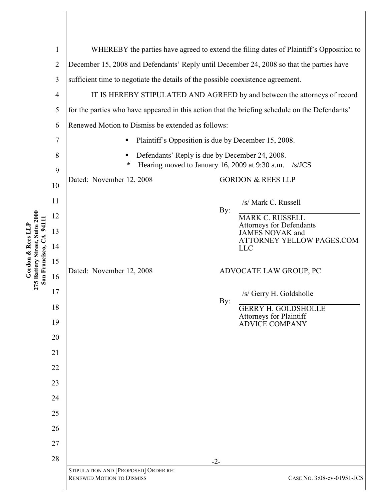| 275 Battery Street, Suite 2000<br>San Francisco, CA 94111<br>Gordon & Rees LLF | 1<br>$\mathbf{2}$<br>3<br>$\overline{4}$<br>5<br>6<br>$\overline{7}$<br>8<br>9<br>10<br>11<br>12 | WHEREBY the parties have agreed to extend the filing dates of Plaintiff's Opposition to<br>December 15, 2008 and Defendants' Reply until December 24, 2008 so that the parties have<br>sufficient time to negotiate the details of the possible coexistence agreement.<br>IT IS HEREBY STIPULATED AND AGREED by and between the attorneys of record<br>for the parties who have appeared in this action that the briefing schedule on the Defendants'<br>Renewed Motion to Dismiss be extended as follows:<br>Plaintiff's Opposition is due by December 15, 2008.<br>п<br>Defendants' Reply is due by December 24, 2008.<br>Hearing moved to January 16, 2009 at 9:30 a.m. /s/JCS<br>∗<br>Dated: November 12, 2008<br><b>GORDON &amp; REES LLP</b><br>/s/ Mark C. Russell<br>By:<br><b>MARK C. RUSSELL</b><br>Attorneys for Defendants |       |                                                                                                                                                          |
|--------------------------------------------------------------------------------|--------------------------------------------------------------------------------------------------|----------------------------------------------------------------------------------------------------------------------------------------------------------------------------------------------------------------------------------------------------------------------------------------------------------------------------------------------------------------------------------------------------------------------------------------------------------------------------------------------------------------------------------------------------------------------------------------------------------------------------------------------------------------------------------------------------------------------------------------------------------------------------------------------------------------------------------------|-------|----------------------------------------------------------------------------------------------------------------------------------------------------------|
|                                                                                | 13                                                                                               |                                                                                                                                                                                                                                                                                                                                                                                                                                                                                                                                                                                                                                                                                                                                                                                                                                        |       | JAMES NOVAK and<br>ATTORNEY YELLOW PAGES.COM                                                                                                             |
|                                                                                | 14<br>15<br>16<br>17<br>18<br>19<br>20<br>21<br>22<br>23<br>24<br>25<br>26                       | Dated: November 12, 2008                                                                                                                                                                                                                                                                                                                                                                                                                                                                                                                                                                                                                                                                                                                                                                                                               | By:   | <b>LLC</b><br>ADVOCATE LAW GROUP, PC<br>/s/ Gerry H. Goldsholle<br><b>GERRY H. GOLDSHOLLE</b><br><b>Attorneys for Plaintiff</b><br><b>ADVICE COMPANY</b> |
|                                                                                | 27<br>28                                                                                         | STIPULATION AND [PROPOSED] ORDER RE:                                                                                                                                                                                                                                                                                                                                                                                                                                                                                                                                                                                                                                                                                                                                                                                                   | $-2-$ |                                                                                                                                                          |
|                                                                                |                                                                                                  | <b>RENEWED MOTION TO DISMISS</b>                                                                                                                                                                                                                                                                                                                                                                                                                                                                                                                                                                                                                                                                                                                                                                                                       |       | CASE No. 3:08-cv-01951-JCS                                                                                                                               |